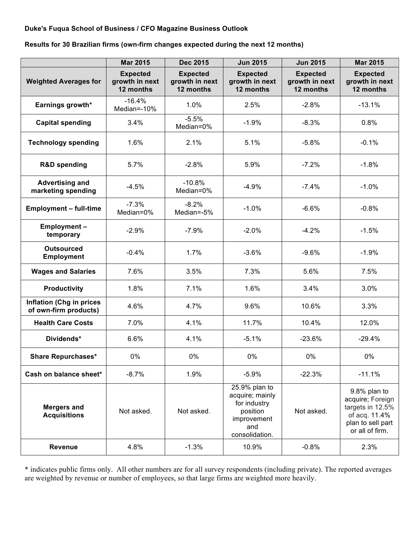## **Duke's Fuqua School of Business / CFO Magazine Business Outlook**

**Results for 30 Brazilian firms (own-firm changes expected during the next 12 months)**

|                                                          | <b>Mar 2015</b>                                | <b>Dec 2015</b>                                | <b>Jun 2015</b>                                                                                      | <b>Jun 2015</b>                                | <b>Mar 2015</b>                                                                                               |
|----------------------------------------------------------|------------------------------------------------|------------------------------------------------|------------------------------------------------------------------------------------------------------|------------------------------------------------|---------------------------------------------------------------------------------------------------------------|
| <b>Weighted Averages for</b>                             | <b>Expected</b><br>growth in next<br>12 months | <b>Expected</b><br>growth in next<br>12 months | <b>Expected</b><br>growth in next<br>12 months                                                       | <b>Expected</b><br>growth in next<br>12 months | <b>Expected</b><br>growth in next<br>12 months                                                                |
| Earnings growth*                                         | $-16.4%$<br>Median=-10%                        | 1.0%                                           | 2.5%                                                                                                 | $-2.8%$                                        | $-13.1%$                                                                                                      |
| <b>Capital spending</b>                                  | 3.4%                                           | $-5.5%$<br>Median=0%                           | $-1.9%$                                                                                              | $-8.3%$                                        | 0.8%                                                                                                          |
| <b>Technology spending</b>                               | 1.6%                                           | 2.1%                                           | 5.1%                                                                                                 | $-5.8%$                                        | $-0.1%$                                                                                                       |
| <b>R&amp;D spending</b>                                  | 5.7%                                           | $-2.8%$                                        | 5.9%                                                                                                 | $-7.2%$                                        | $-1.8%$                                                                                                       |
| <b>Advertising and</b><br>marketing spending             | $-4.5%$                                        | $-10.8%$<br>Median=0%                          | $-4.9%$                                                                                              | $-7.4%$                                        | $-1.0%$                                                                                                       |
| <b>Employment - full-time</b>                            | $-7.3%$<br>Median=0%                           | $-8.2%$<br>Median=-5%                          | $-1.0%$                                                                                              | $-6.6%$                                        | $-0.8%$                                                                                                       |
| Employment-<br>temporary                                 | $-2.9%$                                        | $-7.9%$                                        | $-2.0%$                                                                                              | $-4.2%$                                        | $-1.5%$                                                                                                       |
| <b>Outsourced</b><br><b>Employment</b>                   | $-0.4%$                                        | 1.7%                                           | $-3.6%$                                                                                              | $-9.6%$                                        | $-1.9%$                                                                                                       |
| <b>Wages and Salaries</b>                                | 7.6%                                           | 3.5%                                           | 7.3%                                                                                                 | 5.6%                                           | 7.5%                                                                                                          |
| <b>Productivity</b>                                      | 1.8%                                           | 7.1%                                           | 1.6%                                                                                                 | 3.4%                                           | 3.0%                                                                                                          |
| <b>Inflation (Chg in prices</b><br>of own-firm products) | 4.6%                                           | 4.7%                                           | 9.6%                                                                                                 | 10.6%                                          | 3.3%                                                                                                          |
| <b>Health Care Costs</b>                                 | 7.0%                                           | 4.1%                                           | 11.7%                                                                                                | 10.4%                                          | 12.0%                                                                                                         |
| Dividends*                                               | 6.6%                                           | 4.1%                                           | $-5.1%$                                                                                              | $-23.6%$                                       | $-29.4%$                                                                                                      |
| <b>Share Repurchases*</b>                                | 0%                                             | 0%                                             | 0%                                                                                                   | $0\%$                                          | 0%                                                                                                            |
| Cash on balance sheet*                                   | $-8.7%$                                        | 1.9%                                           | $-5.9%$                                                                                              | $-22.3%$                                       | $-11.1%$                                                                                                      |
| <b>Mergers and</b><br><b>Acquisitions</b>                | Not asked.                                     | Not asked.                                     | 25.9% plan to<br>acquire; mainly<br>for industry<br>position<br>improvement<br>and<br>consolidation. | Not asked.                                     | 9.8% plan to<br>acquire; Foreign<br>targets in 12.5%<br>of acq. 11.4%<br>plan to sell part<br>or all of firm. |
| <b>Revenue</b>                                           | 4.8%                                           | $-1.3%$                                        | 10.9%                                                                                                | $-0.8%$                                        | 2.3%                                                                                                          |

\* indicates public firms only. All other numbers are for all survey respondents (including private). The reported averages are weighted by revenue or number of employees, so that large firms are weighted more heavily.